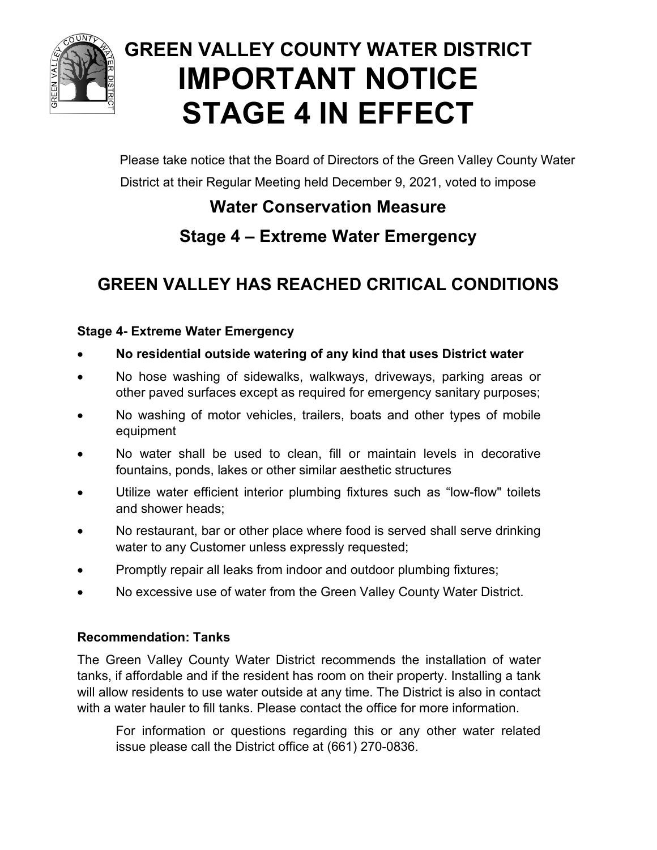

# **GREEN VALLEY COUNTY WATER DISTRICT IMPORTANT NOTICE STAGE 4 IN EFFECT**

Please take notice that the Board of Directors of the Green Valley County Water District at their Regular Meeting held December 9, 2021, voted to impose

## **Water Conservation Measure**

# **Stage 4 – Extreme Water Emergency**

# **GREEN VALLEY HAS REACHED CRITICAL CONDITIONS**

### **Stage 4- Extreme Water Emergency**

- **No residential outside watering of any kind that uses District water**
- No hose washing of sidewalks, walkways, driveways, parking areas or other paved surfaces except as required for emergency sanitary purposes;
- No washing of motor vehicles, trailers, boats and other types of mobile equipment
- No water shall be used to clean, fill or maintain levels in decorative fountains, ponds, lakes or other similar aesthetic structures
- Utilize water efficient interior plumbing fixtures such as "low-flow" toilets and shower heads;
- No restaurant, bar or other place where food is served shall serve drinking water to any Customer unless expressly requested;
- Promptly repair all leaks from indoor and outdoor plumbing fixtures;
- No excessive use of water from the Green Valley County Water District.

### **Recommendation: Tanks**

The Green Valley County Water District recommends the installation of water tanks, if affordable and if the resident has room on their property. Installing a tank will allow residents to use water outside at any time. The District is also in contact with a water hauler to fill tanks. Please contact the office for more information.

For information or questions regarding this or any other water related issue please call the District office at (661) 270-0836.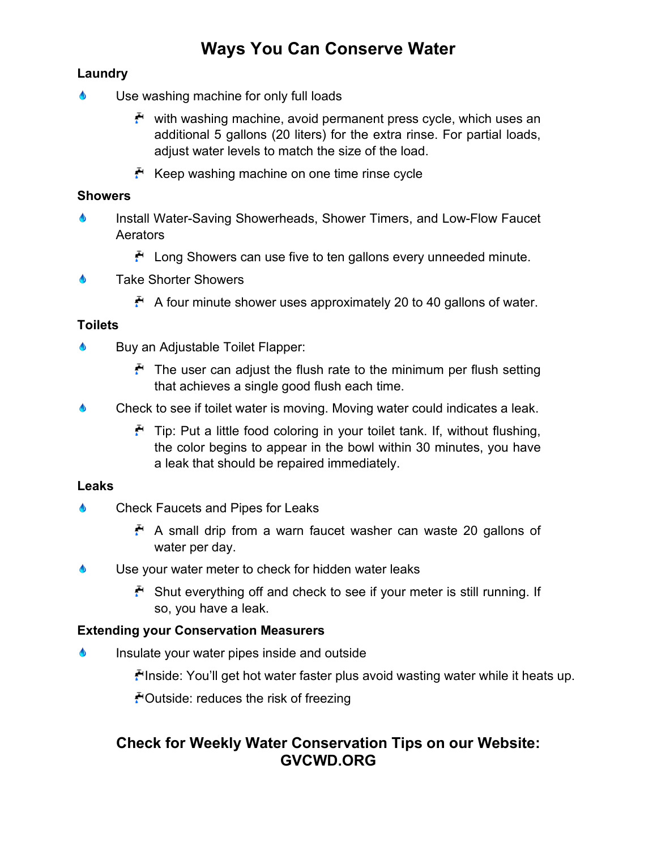## **Ways You Can Conserve Water**

#### **Laundry**

- Use washing machine for only full loads
	- with washing machine, avoid permanent press cycle, which uses an additional 5 gallons (20 liters) for the extra rinse. For partial loads, adjust water levels to match the size of the load.
	- Keep washing machine on one time rinse cycle

#### **Showers**

- $\triangle$ Install Water-Saving Showerheads, Shower Timers, and Low-Flow Faucet **Aerators** 
	- $\ddot{F}$  Long Showers can use five to ten gallons every unneeded minute.
- $\triangle$ Take Shorter Showers
	- A four minute shower uses approximately 20 to 40 gallons of water.

#### **Toilets**

- Δ Buy an Adjustable Toilet Flapper:
	- The user can adjust the flush rate to the minimum per flush setting that achieves a single good flush each time.
- $\triangle$ Check to see if toilet water is moving. Moving water could indicates a leak.
	- Tip: Put a little food coloring in your toilet tank. If, without flushing, the color begins to appear in the bowl within 30 minutes, you have a leak that should be repaired immediately.

#### **Leaks**

- $\bullet$ Check Faucets and Pipes for Leaks
	- A small drip from a warn faucet washer can waste 20 gallons of water per day.
- Use your water meter to check for hidden water leaks
	- Shut everything off and check to see if your meter is still running. If so, you have a leak.

#### **Extending your Conservation Measurers**

Δ Insulate your water pipes inside and outside

Inside: You'll get hot water faster plus avoid wasting water while it heats up.

Outside: reduces the risk of freezing

### **Check for Weekly Water Conservation Tips on our Website: GVCWD.ORG**